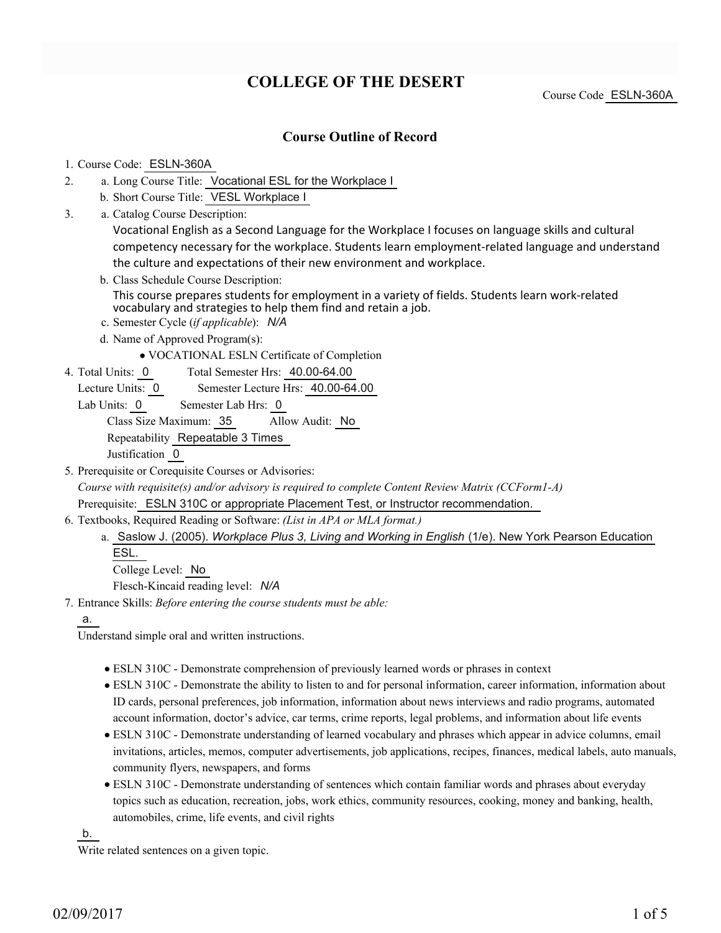# **COLLEGE OF THE DESERT**

Course Code ESLN-360A

### **Course Outline of Record**

#### 1. Course Code: ESLN-360A

- a. Long Course Title: Vocational ESL for the Workplace I 2.
	- b. Short Course Title: VESL Workplace I
- Catalog Course Description: a. 3.

Vocational English as a Second Language for the Workplace I focuses on language skills and cultural competency necessary for the workplace. Students learn employment-related language and understand the culture and expectations of their new environment and workplace.

- b. Class Schedule Course Description: This course prepares students for employment in a variety of fields. Students learn work-related vocabulary and strategies to help them find and retain a job.
- c. Semester Cycle (*if applicable*): *N/A*
- d. Name of Approved Program(s):

VOCATIONAL ESLN Certificate of Completion

Total Semester Hrs: 40.00-64.00 4. Total Units: 0

Lecture Units: 0 Semester Lecture Hrs: 40.00-64.00

Lab Units: 0 Semester Lab Hrs: 0

Class Size Maximum: 35 Allow Audit: No

Repeatability Repeatable 3 Times

Justification 0

5. Prerequisite or Corequisite Courses or Advisories:

*Course with requisite(s) and/or advisory is required to complete Content Review Matrix (CCForm1-A)*

Prerequisite: ESLN 310C or appropriate Placement Test, or Instructor recommendation.

- Textbooks, Required Reading or Software: *(List in APA or MLA format.)* 6.
	- a. Saslow J. (2005). *Workplace Plus 3, Living and Working in English* (1/e). New York Pearson Education ESL.

College Level: No

Flesch-Kincaid reading level: *N/A*

Entrance Skills: *Before entering the course students must be able:* 7.

a.

Understand simple oral and written instructions.

- ESLN 310C Demonstrate comprehension of previously learned words or phrases in context
- ESLN 310C Demonstrate the ability to listen to and for personal information, career information, information about ID cards, personal preferences, job information, information about news interviews and radio programs, automated account information, doctor's advice, car terms, crime reports, legal problems, and information about life events
- ESLN 310C Demonstrate understanding of learned vocabulary and phrases which appear in advice columns, email invitations, articles, memos, computer advertisements, job applications, recipes, finances, medical labels, auto manuals, community flyers, newspapers, and forms
- ESLN 310C Demonstrate understanding of sentences which contain familiar words and phrases about everyday topics such as education, recreation, jobs, work ethics, community resources, cooking, money and banking, health, automobiles, crime, life events, and civil rights

b.

Write related sentences on a given topic.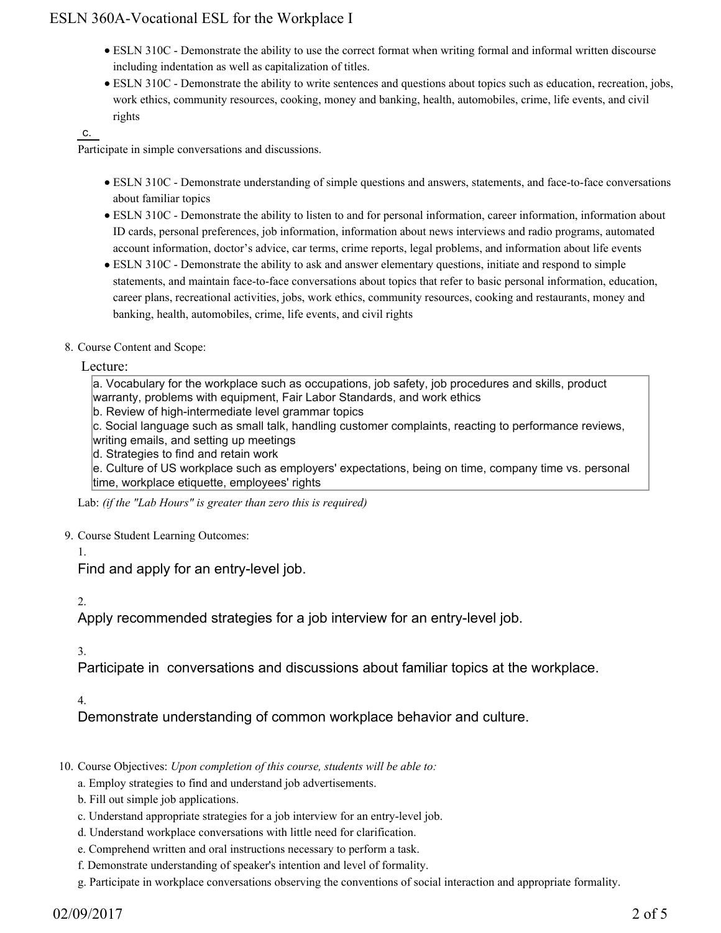## ESLN 360A-Vocational ESL for the Workplace I

- ESLN 310C Demonstrate the ability to use the correct format when writing formal and informal written discourse including indentation as well as capitalization of titles.
- ESLN 310C Demonstrate the ability to write sentences and questions about topics such as education, recreation, jobs, work ethics, community resources, cooking, money and banking, health, automobiles, crime, life events, and civil rights

#### c.

Participate in simple conversations and discussions.

- ESLN 310C Demonstrate understanding of simple questions and answers, statements, and face-to-face conversations about familiar topics
- ESLN 310C Demonstrate the ability to listen to and for personal information, career information, information about ID cards, personal preferences, job information, information about news interviews and radio programs, automated account information, doctor's advice, car terms, crime reports, legal problems, and information about life events
- ESLN 310C Demonstrate the ability to ask and answer elementary questions, initiate and respond to simple statements, and maintain face-to-face conversations about topics that refer to basic personal information, education, career plans, recreational activities, jobs, work ethics, community resources, cooking and restaurants, money and banking, health, automobiles, crime, life events, and civil rights
- 8. Course Content and Scope:

Lecture:

a. Vocabulary for the workplace such as occupations, job safety, job procedures and skills, product warranty, problems with equipment, Fair Labor Standards, and work ethics

b. Review of high-intermediate level grammar topics

c. Social language such as small talk, handling customer complaints, reacting to performance reviews, writing emails, and setting up meetings

d. Strategies to find and retain work

e. Culture of US workplace such as employers' expectations, being on time, company time vs. personal time, workplace etiquette, employees' rights

Lab: *(if the "Lab Hours" is greater than zero this is required)*

- 9. Course Student Learning Outcomes:
	- 1.

Find and apply for an entry-level job.

2.

Apply recommended strategies for a job interview for an entry-level job.

### 3.

Participate in conversations and discussions about familiar topics at the workplace.

### 4.

Demonstrate understanding of common workplace behavior and culture.

- 10. Course Objectives: Upon completion of this course, students will be able to:
	- a. Employ strategies to find and understand job advertisements.
	- b. Fill out simple job applications.
	- c. Understand appropriate strategies for a job interview for an entry-level job.
	- d. Understand workplace conversations with little need for clarification.
	- e. Comprehend written and oral instructions necessary to perform a task.
	- f. Demonstrate understanding of speaker's intention and level of formality.
	- g. Participate in workplace conversations observing the conventions of social interaction and appropriate formality.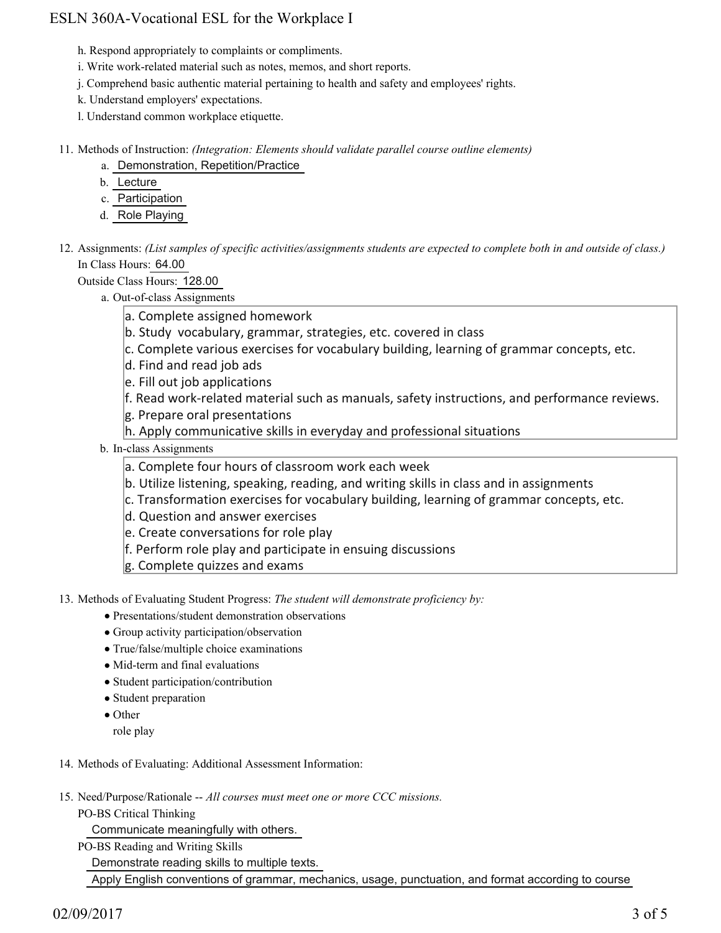## ESLN 360A-Vocational ESL for the Workplace I

h. Respond appropriately to complaints or compliments.

- i. Write work-related material such as notes, memos, and short reports.
- j. Comprehend basic authentic material pertaining to health and safety and employees' rights.
- k. Understand employers' expectations.
- l. Understand common workplace etiquette.

11. Methods of Instruction: *(Integration: Elements should validate parallel course outline elements)* 

- a. Demonstration, Repetition/Practice
- b. Lecture
- c. Participation
- d. Role Playing

12. Assignments: (List samples of specific activities/assignments students are expected to complete both in and outside of class.) In Class Hours: 64.00

Outside Class Hours: 128.00

a. Out-of-class Assignments

- a. Complete assigned homework
- b. Study vocabulary, grammar, strategies, etc. covered in class
- c. Complete various exercises for vocabulary building, learning of grammar concepts, etc.
- d. Find and read job ads
- e. Fill out job applications
- f. Read work-related material such as manuals, safety instructions, and performance reviews.
- g. Prepare oral presentations
- h. Apply communicative skills in everyday and professional situations
- b. In-class Assignments
	- a. Complete four hours of classroom work each week
	- b. Utilize listening, speaking, reading, and writing skills in class and in assignments
	- c. Transformation exercises for vocabulary building, learning of grammar concepts, etc.
	- d. Question and answer exercises
	- e. Create conversations for role play
	- f. Perform role play and participate in ensuing discussions
	- g. Complete quizzes and exams

13. Methods of Evaluating Student Progress: The student will demonstrate proficiency by:

- Presentations/student demonstration observations
- Group activity participation/observation
- True/false/multiple choice examinations
- Mid-term and final evaluations
- Student participation/contribution
- Student preparation
- Other
	- role play

#### 14. Methods of Evaluating: Additional Assessment Information:

- 15. Need/Purpose/Rationale -- All courses must meet one or more CCC missions.
	- PO-BS Critical Thinking

Communicate meaningfully with others.

PO-BS Reading and Writing Skills

Demonstrate reading skills to multiple texts.

Apply English conventions of grammar, mechanics, usage, punctuation, and format according to course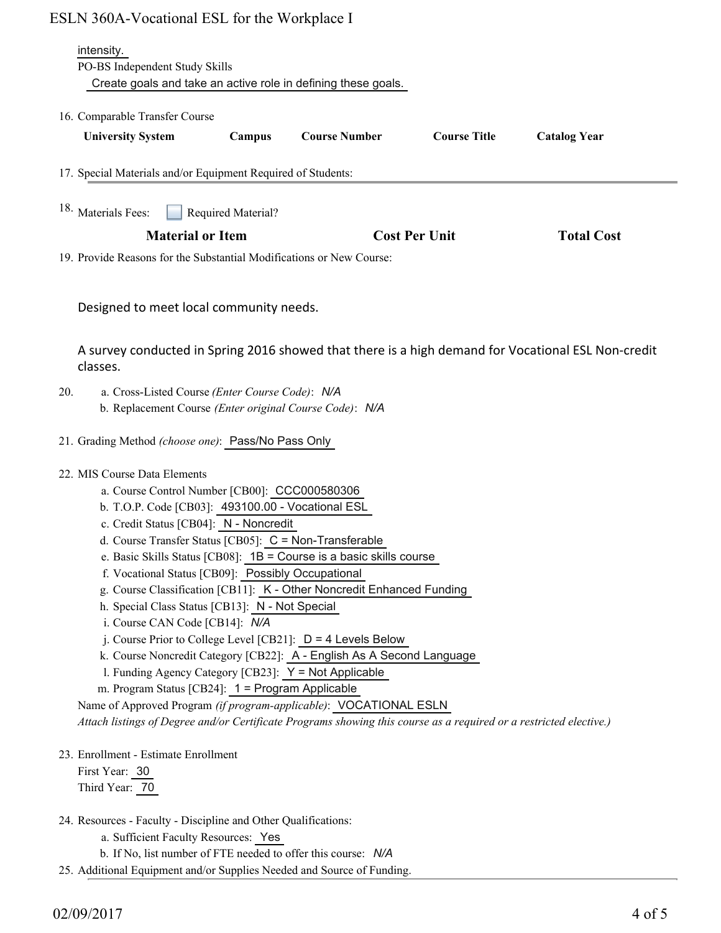| ESLN 360A-Vocational ESL for the Workplace I |  |  |
|----------------------------------------------|--|--|
|----------------------------------------------|--|--|

|     | ESLN 360A-Vocational ESL for the Workplace I                                                                                                                                                                                                                                                                                                                                                                                                                                                                                                                                                                                                                                                                                                                                                                                                                                                                                                                                          |  |
|-----|---------------------------------------------------------------------------------------------------------------------------------------------------------------------------------------------------------------------------------------------------------------------------------------------------------------------------------------------------------------------------------------------------------------------------------------------------------------------------------------------------------------------------------------------------------------------------------------------------------------------------------------------------------------------------------------------------------------------------------------------------------------------------------------------------------------------------------------------------------------------------------------------------------------------------------------------------------------------------------------|--|
|     | intensity.<br>PO-BS Independent Study Skills<br>Create goals and take an active role in defining these goals.                                                                                                                                                                                                                                                                                                                                                                                                                                                                                                                                                                                                                                                                                                                                                                                                                                                                         |  |
|     | 16. Comparable Transfer Course<br><b>Course Number</b><br><b>Course Title</b><br><b>Catalog Year</b><br><b>University System</b><br>Campus                                                                                                                                                                                                                                                                                                                                                                                                                                                                                                                                                                                                                                                                                                                                                                                                                                            |  |
|     | 17. Special Materials and/or Equipment Required of Students:                                                                                                                                                                                                                                                                                                                                                                                                                                                                                                                                                                                                                                                                                                                                                                                                                                                                                                                          |  |
|     | <sup>18.</sup> Materials Fees:<br>Required Material?                                                                                                                                                                                                                                                                                                                                                                                                                                                                                                                                                                                                                                                                                                                                                                                                                                                                                                                                  |  |
|     | <b>Material or Item</b><br><b>Cost Per Unit</b><br><b>Total Cost</b><br>19. Provide Reasons for the Substantial Modifications or New Course:                                                                                                                                                                                                                                                                                                                                                                                                                                                                                                                                                                                                                                                                                                                                                                                                                                          |  |
|     | Designed to meet local community needs.                                                                                                                                                                                                                                                                                                                                                                                                                                                                                                                                                                                                                                                                                                                                                                                                                                                                                                                                               |  |
|     | A survey conducted in Spring 2016 showed that there is a high demand for Vocational ESL Non-credit<br>classes.                                                                                                                                                                                                                                                                                                                                                                                                                                                                                                                                                                                                                                                                                                                                                                                                                                                                        |  |
| 20. | a. Cross-Listed Course (Enter Course Code): N/A<br>b. Replacement Course (Enter original Course Code): N/A                                                                                                                                                                                                                                                                                                                                                                                                                                                                                                                                                                                                                                                                                                                                                                                                                                                                            |  |
|     | 21. Grading Method (choose one): Pass/No Pass Only                                                                                                                                                                                                                                                                                                                                                                                                                                                                                                                                                                                                                                                                                                                                                                                                                                                                                                                                    |  |
|     | 22. MIS Course Data Elements<br>a. Course Control Number [CB00]: CCC000580306<br>b. T.O.P. Code [CB03]: 493100.00 - Vocational ESL<br>c. Credit Status [CB04]: N - Noncredit<br>d. Course Transfer Status [CB05]: C = Non-Transferable<br>e. Basic Skills Status [CB08]: $1B =$ Course is a basic skills course<br>f. Vocational Status [CB09]: Possibly Occupational<br>g. Course Classification [CB11]: K - Other Noncredit Enhanced Funding<br>h. Special Class Status [CB13]: N - Not Special<br>i. Course CAN Code [CB14]: N/A<br>j. Course Prior to College Level [CB21]: $D = 4$ Levels Below<br>k. Course Noncredit Category [CB22]: A - English As A Second Language<br>1. Funding Agency Category [CB23]: Y = Not Applicable<br>m. Program Status [CB24]: 1 = Program Applicable<br>Name of Approved Program (if program-applicable): VOCATIONAL ESLN<br>Attach listings of Degree and/or Certificate Programs showing this course as a required or a restricted elective.) |  |
|     | 23. Enrollment - Estimate Enrollment<br>First Year: 30<br>Third Year: 70                                                                                                                                                                                                                                                                                                                                                                                                                                                                                                                                                                                                                                                                                                                                                                                                                                                                                                              |  |
|     | 24. Resources - Faculty - Discipline and Other Qualifications:<br>a. Sufficient Faculty Resources: Yes<br>b. If No, list number of FTE needed to offer this course: N/A                                                                                                                                                                                                                                                                                                                                                                                                                                                                                                                                                                                                                                                                                                                                                                                                               |  |
|     | 25. Additional Equipment and/or Supplies Needed and Source of Funding.                                                                                                                                                                                                                                                                                                                                                                                                                                                                                                                                                                                                                                                                                                                                                                                                                                                                                                                |  |